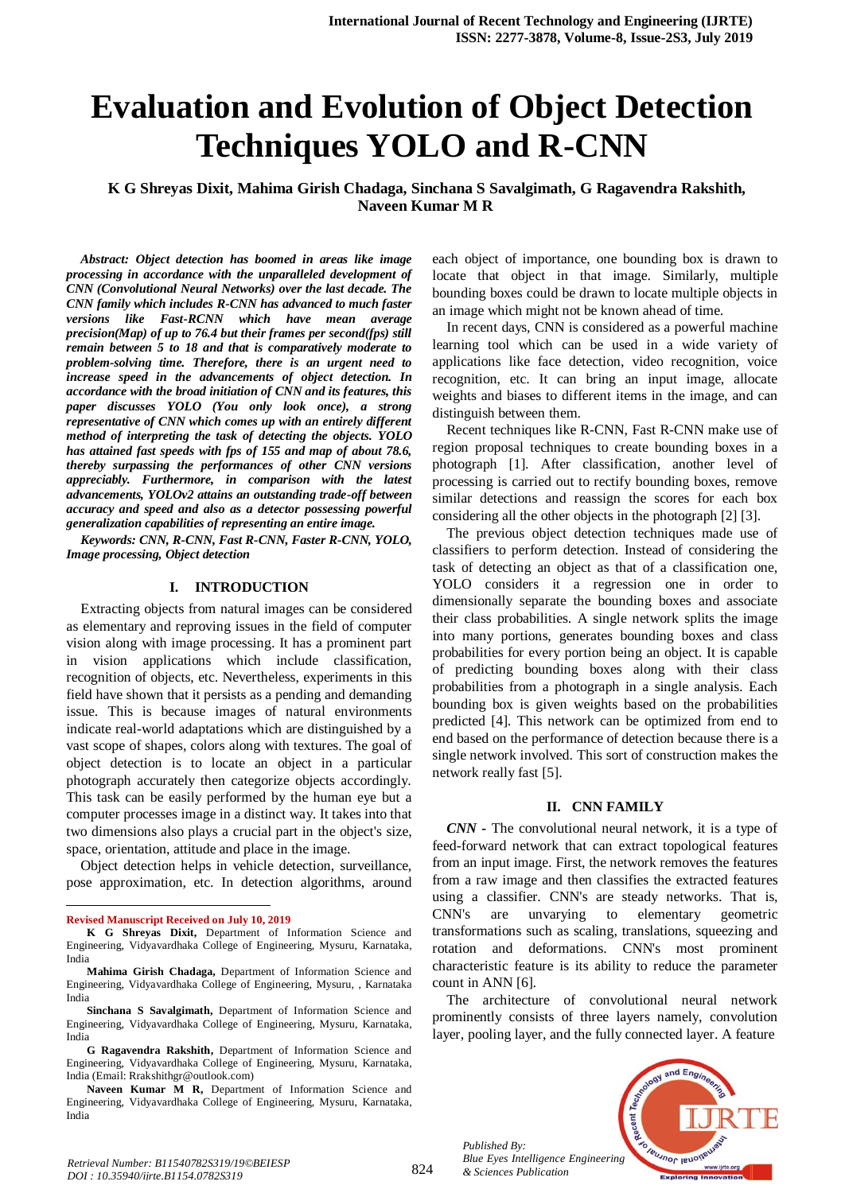# **Evaluation and Evolution of Object Detection Techniques YOLO and R-CNN**

**K G Shreyas Dixit, Mahima Girish Chadaga, Sinchana S Savalgimath, G Ragavendra Rakshith, Naveen Kumar M R**

*Abstract: Object detection has boomed in areas like image processing in accordance with the unparalleled development of CNN (Convolutional Neural Networks) over the last decade. The CNN family which includes R-CNN has advanced to much faster versions like Fast-RCNN which have mean average precision(Map) of up to 76.4 but their frames per second(fps) still remain between 5 to 18 and that is comparatively moderate to problem-solving time. Therefore, there is an urgent need to increase speed in the advancements of object detection. In accordance with the broad initiation of CNN and its features, this paper discusses YOLO (You only look once), a strong representative of CNN which comes up with an entirely different method of interpreting the task of detecting the objects. YOLO has attained fast speeds with fps of 155 and map of about 78.6, thereby surpassing the performances of other CNN versions appreciably. Furthermore, in comparison with the latest advancements, YOLOv2 attains an outstanding trade-off between accuracy and speed and also as a detector possessing powerful generalization capabilities of representing an entire image.*

*Keywords: CNN, R-CNN, Fast R-CNN, Faster R-CNN, YOLO, Image processing, Object detection*

#### **I. INTRODUCTION**

Extracting objects from natural images can be considered as elementary and reproving issues in the field of computer vision along with image processing. It has a prominent part in vision applications which include classification, recognition of objects, etc. Nevertheless, experiments in this field have shown that it persists as a pending and demanding issue. This is because images of natural environments indicate real-world adaptations which are distinguished by a vast scope of shapes, colors along with textures. The goal of object detection is to locate an object in a particular photograph accurately then categorize objects accordingly. This task can be easily performed by the human eye but a computer processes image in a distinct way. It takes into that two dimensions also plays a crucial part in the object's size, space, orientation, attitude and place in the image.

Object detection helps in vehicle detection, surveillance, pose approximation, etc. In detection algorithms, around

 $\overline{a}$ 

each object of importance, one bounding box is drawn to locate that object in that image. Similarly, multiple bounding boxes could be drawn to locate multiple objects in an image which might not be known ahead of time.

In recent days, CNN is considered as a powerful machine learning tool which can be used in a wide variety of applications like face detection, video recognition, voice recognition, etc. It can bring an input image, allocate weights and biases to different items in the image, and can distinguish between them.

Recent techniques like R-CNN, Fast R-CNN make use of region proposal techniques to create bounding boxes in a photograph [1]. After classification, another level of processing is carried out to rectify bounding boxes, remove similar detections and reassign the scores for each box considering all the other objects in the photograph [2] [3].

The previous object detection techniques made use of classifiers to perform detection. Instead of considering the task of detecting an object as that of a classification one, YOLO considers it a regression one in order to dimensionally separate the bounding boxes and associate their class probabilities. A single network splits the image into many portions, generates bounding boxes and class probabilities for every portion being an object. It is capable of predicting bounding boxes along with their class probabilities from a photograph in a single analysis. Each bounding box is given weights based on the probabilities predicted [4]. This network can be optimized from end to end based on the performance of detection because there is a single network involved. This sort of construction makes the network really fast [5].

#### **II. CNN FAMILY**

*CNN -* The convolutional neural network, it is a type of feed-forward network that can extract topological features from an input image. First, the network removes the features from a raw image and then classifies the extracted features using a classifier. CNN's are steady networks. That is, CNN's are unvarying to elementary geometric transformations such as scaling, translations, squeezing and rotation and deformations. CNN's most prominent characteristic feature is its ability to reduce the parameter count in ANN [6].

The architecture of convolutional neural network prominently consists of three layers namely, convolution layer, pooling layer, and the fully connected layer. A feature





**Revised Manuscript Received on July 10, 2019**

**K G Shreyas Dixit,** Department of Information Science and Engineering, Vidyavardhaka College of Engineering, Mysuru, Karnataka, India

**Mahima Girish Chadaga,** Department of Information Science and Engineering, Vidyavardhaka College of Engineering, Mysuru, , Karnataka India

**Sinchana S Savalgimath,** Department of Information Science and Engineering, Vidyavardhaka College of Engineering, Mysuru, Karnataka, India

**G Ragavendra Rakshith,** Department of Information Science and Engineering, Vidyavardhaka College of Engineering, Mysuru, Karnataka, India (Email: Rrakshithgr@outlook.com)

**Naveen Kumar M R,** Department of Information Science and Engineering, Vidyavardhaka College of Engineering, Mysuru, Karnataka, India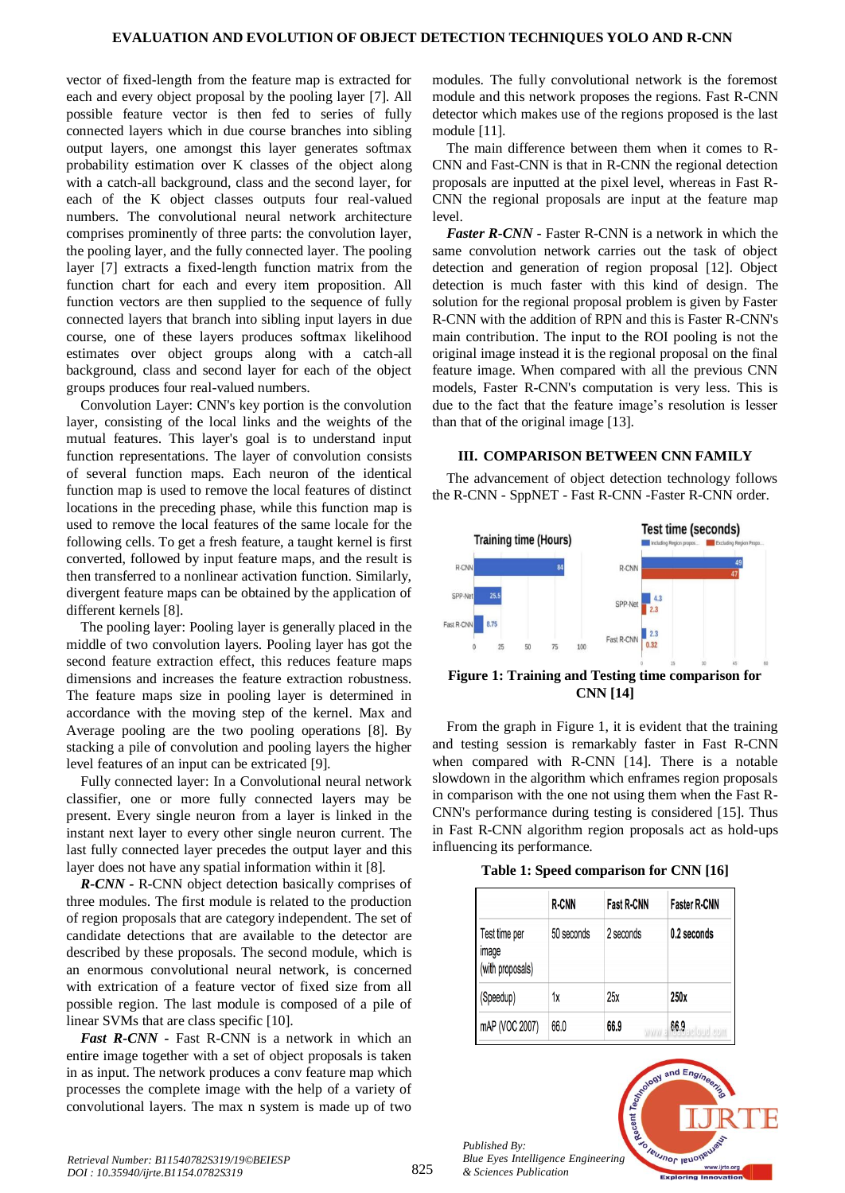vector of fixed-length from the feature map is extracted for each and every object proposal by the pooling layer [7]. All possible feature vector is then fed to series of fully connected layers which in due course branches into sibling output layers, one amongst this layer generates softmax probability estimation over K classes of the object along with a catch-all background, class and the second layer, for each of the K object classes outputs four real-valued numbers. The convolutional neural network architecture comprises prominently of three parts: the convolution layer, the pooling layer, and the fully connected layer. The pooling layer [7] extracts a fixed-length function matrix from the function chart for each and every item proposition. All function vectors are then supplied to the sequence of fully connected layers that branch into sibling input layers in due course, one of these layers produces softmax likelihood estimates over object groups along with a catch-all background, class and second layer for each of the object groups produces four real-valued numbers.

Convolution Layer: CNN's key portion is the convolution layer, consisting of the local links and the weights of the mutual features. This layer's goal is to understand input function representations. The layer of convolution consists of several function maps. Each neuron of the identical function map is used to remove the local features of distinct locations in the preceding phase, while this function map is used to remove the local features of the same locale for the following cells. To get a fresh feature, a taught kernel is first converted, followed by input feature maps, and the result is then transferred to a nonlinear activation function. Similarly, divergent feature maps can be obtained by the application of different kernels [8].

The pooling layer: Pooling layer is generally placed in the middle of two convolution layers. Pooling layer has got the second feature extraction effect, this reduces feature maps dimensions and increases the feature extraction robustness. The feature maps size in pooling layer is determined in accordance with the moving step of the kernel. Max and Average pooling are the two pooling operations [8]. By stacking a pile of convolution and pooling layers the higher level features of an input can be extricated [9].

Fully connected layer: In a Convolutional neural network classifier, one or more fully connected layers may be present. Every single neuron from a layer is linked in the instant next layer to every other single neuron current. The last fully connected layer precedes the output layer and this layer does not have any spatial information within it [8].

*R-CNN -* R-CNN object detection basically comprises of three modules. The first module is related to the production of region proposals that are category independent. The set of candidate detections that are available to the detector are described by these proposals. The second module, which is an enormous convolutional neural network, is concerned with extrication of a feature vector of fixed size from all possible region. The last module is composed of a pile of linear SVMs that are class specific [10].

*Fast R-CNN -* Fast R-CNN is a network in which an entire image together with a set of object proposals is taken in as input. The network produces a conv feature map which processes the complete image with the help of a variety of convolutional layers. The max n system is made up of two

modules. The fully convolutional network is the foremost module and this network proposes the regions. Fast R-CNN detector which makes use of the regions proposed is the last module [11].

The main difference between them when it comes to R-CNN and Fast-CNN is that in R-CNN the regional detection proposals are inputted at the pixel level, whereas in Fast R-CNN the regional proposals are input at the feature map level.

*Faster R-CNN -* Faster R-CNN is a network in which the same convolution network carries out the task of object detection and generation of region proposal [12]. Object detection is much faster with this kind of design. The solution for the regional proposal problem is given by Faster R-CNN with the addition of RPN and this is Faster R-CNN's main contribution. The input to the ROI pooling is not the original image instead it is the regional proposal on the final feature image. When compared with all the previous CNN models, Faster R-CNN's computation is very less. This is due to the fact that the feature image's resolution is lesser than that of the original image [13].

## **III. COMPARISON BETWEEN CNN FAMILY**

The advancement of object detection technology follows the R-CNN - SppNET - Fast R-CNN -Faster R-CNN order.



**Figure 1: Training and Testing time comparison for CNN [14]**

From the graph in Figure 1, it is evident that the training and testing session is remarkably faster in Fast R-CNN when compared with R-CNN [14]. There is a notable slowdown in the algorithm which enframes region proposals in comparison with the one not using them when the Fast R-CNN's performance during testing is considered [15]. Thus in Fast R-CNN algorithm region proposals act as hold-ups influencing its performance.

|  | Table 1: Speed comparison for CNN [16] |  |
|--|----------------------------------------|--|
|--|----------------------------------------|--|

|                                            | <b>R-CNN</b> | <b>Fast R-CNN</b> | <b>Faster R-CNN</b> |
|--------------------------------------------|--------------|-------------------|---------------------|
| Test time per<br>image<br>(with proposals) | 50 seconds   | 2 seconds         | 0.2 seconds         |
| (Speedup)                                  | 1х           | 25x               | 250x                |
| mAP (VOC 2007)                             | 66.0         | 66.9              | 66.9                |

*Published By: Blue Eyes Intelligence Engineering & Sciences Publication* 

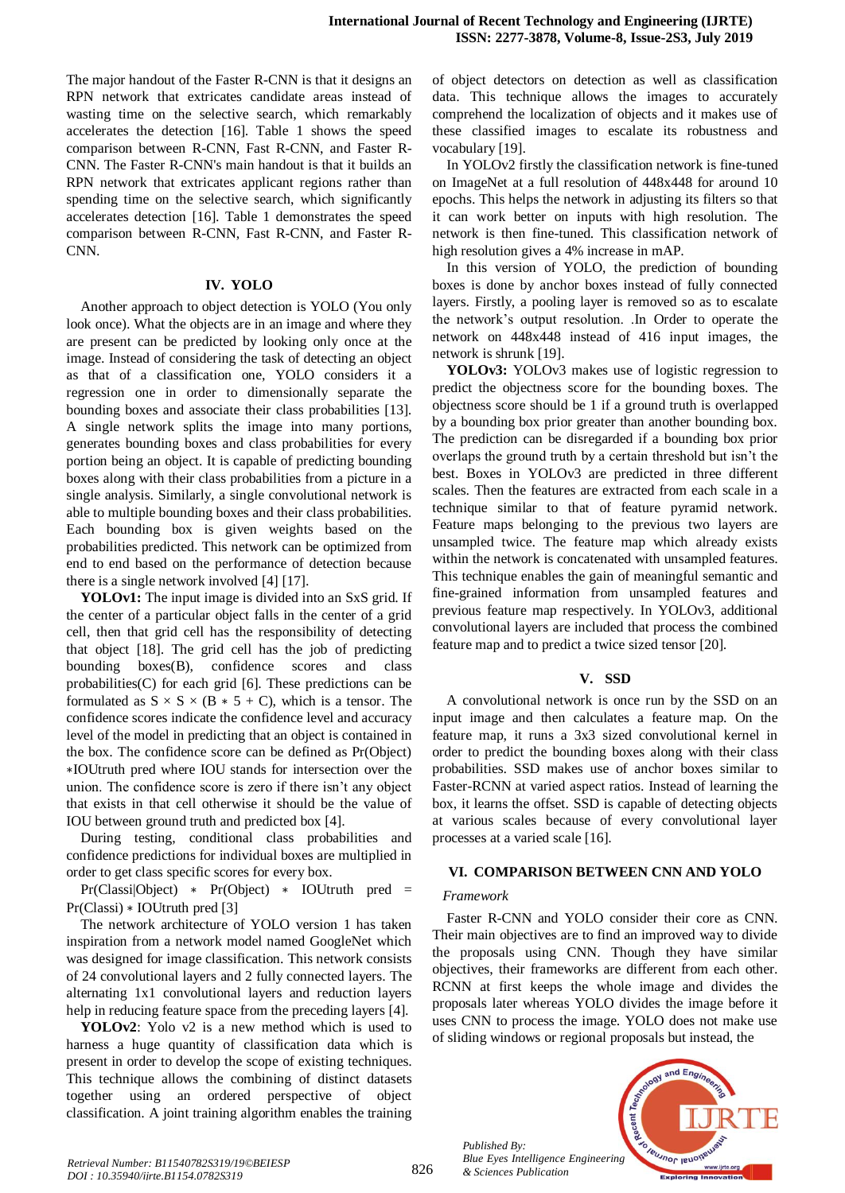The major handout of the Faster R-CNN is that it designs an RPN network that extricates candidate areas instead of wasting time on the selective search, which remarkably accelerates the detection [16]. Table 1 shows the speed comparison between R-CNN, Fast R-CNN, and Faster R-CNN. The Faster R-CNN's main handout is that it builds an RPN network that extricates applicant regions rather than spending time on the selective search, which significantly accelerates detection [16]. Table 1 demonstrates the speed comparison between R-CNN, Fast R-CNN, and Faster R-CNN.

## **IV. YOLO**

Another approach to object detection is YOLO (You only look once). What the objects are in an image and where they are present can be predicted by looking only once at the image. Instead of considering the task of detecting an object as that of a classification one, YOLO considers it a regression one in order to dimensionally separate the bounding boxes and associate their class probabilities [13]. A single network splits the image into many portions, generates bounding boxes and class probabilities for every portion being an object. It is capable of predicting bounding boxes along with their class probabilities from a picture in a single analysis. Similarly, a single convolutional network is able to multiple bounding boxes and their class probabilities. Each bounding box is given weights based on the probabilities predicted. This network can be optimized from end to end based on the performance of detection because there is a single network involved [4] [17].

**YOLOv1:** The input image is divided into an SxS grid. If the center of a particular object falls in the center of a grid cell, then that grid cell has the responsibility of detecting that object [18]. The grid cell has the job of predicting bounding boxes(B), confidence scores and class probabilities(C) for each grid [6]. These predictions can be formulated as  $S \times S \times (B * 5 + C)$ , which is a tensor. The confidence scores indicate the confidence level and accuracy level of the model in predicting that an object is contained in the box. The confidence score can be defined as Pr(Object) ∗IOUtruth pred where IOU stands for intersection over the union. The confidence score is zero if there isn't any object that exists in that cell otherwise it should be the value of IOU between ground truth and predicted box [4].

During testing, conditional class probabilities and confidence predictions for individual boxes are multiplied in order to get class specific scores for every box.

Pr(Classi|Object) ∗ Pr(Object) ∗ IOUtruth pred = Pr(Classi) ∗ IOUtruth pred [3]

The network architecture of YOLO version 1 has taken inspiration from a network model named GoogleNet which was designed for image classification. This network consists of 24 convolutional layers and 2 fully connected layers. The alternating 1x1 convolutional layers and reduction layers help in reducing feature space from the preceding layers [4].

**YOLOv2**: Yolo v2 is a new method which is used to harness a huge quantity of classification data which is present in order to develop the scope of existing techniques. This technique allows the combining of distinct datasets together using an ordered perspective of object classification. A joint training algorithm enables the training of object detectors on detection as well as classification data. This technique allows the images to accurately comprehend the localization of objects and it makes use of these classified images to escalate its robustness and vocabulary [19].

In YOLOv2 firstly the classification network is fine-tuned on ImageNet at a full resolution of 448x448 for around 10 epochs. This helps the network in adjusting its filters so that it can work better on inputs with high resolution. The network is then fine-tuned. This classification network of high resolution gives a 4% increase in mAP.

In this version of YOLO, the prediction of bounding boxes is done by anchor boxes instead of fully connected layers. Firstly, a pooling layer is removed so as to escalate the network's output resolution. .In Order to operate the network on 448x448 instead of 416 input images, the network is shrunk [19].

**YOLOv3:** YOLOv3 makes use of logistic regression to predict the objectness score for the bounding boxes. The objectness score should be 1 if a ground truth is overlapped by a bounding box prior greater than another bounding box. The prediction can be disregarded if a bounding box prior overlaps the ground truth by a certain threshold but isn't the best. Boxes in YOLOv3 are predicted in three different scales. Then the features are extracted from each scale in a technique similar to that of feature pyramid network. Feature maps belonging to the previous two layers are unsampled twice. The feature map which already exists within the network is concatenated with unsampled features. This technique enables the gain of meaningful semantic and fine-grained information from unsampled features and previous feature map respectively. In YOLOv3, additional convolutional layers are included that process the combined feature map and to predict a twice sized tensor [20].

#### **V. SSD**

A convolutional network is once run by the SSD on an input image and then calculates a feature map. On the feature map, it runs a 3x3 sized convolutional kernel in order to predict the bounding boxes along with their class probabilities. SSD makes use of anchor boxes similar to Faster-RCNN at varied aspect ratios. Instead of learning the box, it learns the offset. SSD is capable of detecting objects at various scales because of every convolutional layer processes at a varied scale [16].

#### **VI. COMPARISON BETWEEN CNN AND YOLO**

#### *Framework*

Faster R-CNN and YOLO consider their core as CNN. Their main objectives are to find an improved way to divide the proposals using CNN. Though they have similar objectives, their frameworks are different from each other. RCNN at first keeps the whole image and divides the proposals later whereas YOLO divides the image before it uses CNN to process the image. YOLO does not make use of sliding windows or regional proposals but instead, the

*Published By: Blue Eyes Intelligence Engineering & Sciences Publication* 

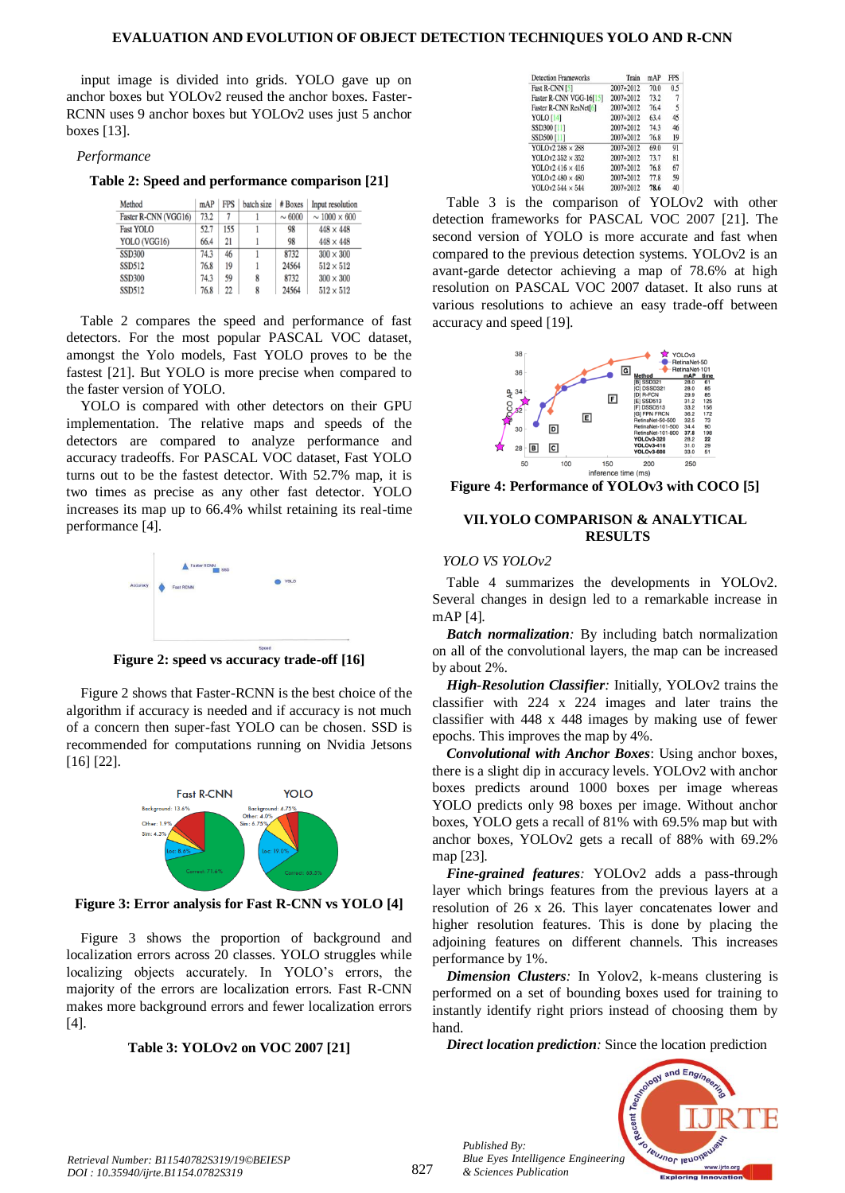input image is divided into grids. YOLO gave up on anchor boxes but YOLOv2 reused the anchor boxes. Faster-RCNN uses 9 anchor boxes but YOLOv2 uses just 5 anchor boxes [13].

#### *Performance*

**Table 2: Speed and performance comparison [21]**

| Method               | mAP  | <b>FPS</b> | batch size | # Boxes     | Input resolution       |
|----------------------|------|------------|------------|-------------|------------------------|
| Faster R-CNN (VGG16) | 73.2 | 7          |            | $\sim 6000$ | $\sim 1000 \times 600$ |
| <b>Fast YOLO</b>     | 52.7 | 155        |            | 98          | $448 \times 448$       |
| YOLO (VGG16)         | 66.4 | 21         |            | 98          | $448 \times 448$       |
| <b>SSD300</b>        | 74.3 | 46         |            | 8732        | $300 \times 300$       |
| <b>SSD512</b>        | 76.8 | 19         |            | 24564       | $512 \times 512$       |
| <b>SSD300</b>        | 74.3 | 59         | 8          | 8732        | $300 \times 300$       |
| <b>SSD512</b>        | 76.8 | 22         | 8          | 24564       | $512 \times 512$       |

Table 2 compares the speed and performance of fast detectors. For the most popular PASCAL VOC dataset, amongst the Yolo models, Fast YOLO proves to be the fastest [21]. But YOLO is more precise when compared to the faster version of YOLO.

YOLO is compared with other detectors on their GPU implementation. The relative maps and speeds of the detectors are compared to analyze performance and accuracy tradeoffs. For PASCAL VOC dataset, Fast YOLO turns out to be the fastest detector. With 52.7% map, it is two times as precise as any other fast detector. YOLO increases its map up to 66.4% whilst retaining its real-time performance [4].



**Figure 2: speed vs accuracy trade-off [16]**

Figure 2 shows that Faster-RCNN is the best choice of the algorithm if accuracy is needed and if accuracy is not much of a concern then super-fast YOLO can be chosen. SSD is recommended for computations running on Nvidia Jetsons [16] [22].



**Figure 3: Error analysis for Fast R-CNN vs YOLO [4]**

Figure 3 shows the proportion of background and localization errors across 20 classes. YOLO struggles while localizing objects accurately. In YOLO's errors, the majority of the errors are localization errors. Fast R-CNN makes more background errors and fewer localization errors [4].

## **Table 3: YOLOv2 on VOC 2007 [21]**

| <b>Detection Frameworks</b> | Train     | mAP  | <b>FPS</b> |  |
|-----------------------------|-----------|------|------------|--|
| Fast R-CNN [5]              | 2007+2012 | 70.0 | 0.5        |  |
| Faster R-CNN VGG-16[15]     | 2007+2012 | 73.2 | 7          |  |
| Faster R-CNN ResNet[6]      | 2007+2012 | 76.4 | 5          |  |
| <b>YOLO</b> [14]            | 2007+2012 | 63.4 | 45         |  |
| SSD300 [11]                 | 2007+2012 | 74.3 | 46         |  |
| SSD500 [11]                 | 2007+2012 | 76.8 | 19         |  |
| YOLOv2 288 × 288            | 2007+2012 | 69.0 | 91         |  |
| YOLOv2 352 × 352            | 2007+2012 | 73.7 | 81         |  |
| YOLOv2 416 $\times$ 416     | 2007+2012 | 76.8 | 67         |  |
| YOLOv2 480 × 480            | 2007+2012 | 77.8 | 59         |  |
| YOLOv2 544 × 544            | 2007+2012 | 78.6 | 40         |  |

Table 3 is the comparison of YOLOv2 with other detection frameworks for PASCAL VOC 2007 [21]. The second version of YOLO is more accurate and fast when compared to the previous detection systems. YOLOv2 is an avant-garde detector achieving a map of 78.6% at high resolution on PASCAL VOC 2007 dataset. It also runs at various resolutions to achieve an easy trade-off between accuracy and speed [19].



**Figure 4: Performance of YOLOv3 with COCO [5]**

## **VII.YOLO COMPARISON & ANALYTICAL RESULTS**

#### *YOLO VS YOLOv2*

Table 4 summarizes the developments in YOLOv2. Several changes in design led to a remarkable increase in mAP [4].

*Batch normalization:* By including batch normalization on all of the convolutional layers, the map can be increased by about 2%.

*High-Resolution Classifier:* Initially, YOLOv2 trains the classifier with 224 x 224 images and later trains the classifier with 448 x 448 images by making use of fewer epochs. This improves the map by 4%.

*Convolutional with Anchor Boxes*: Using anchor boxes, there is a slight dip in accuracy levels. YOLOv2 with anchor boxes predicts around 1000 boxes per image whereas YOLO predicts only 98 boxes per image. Without anchor boxes, YOLO gets a recall of 81% with 69.5% map but with anchor boxes, YOLOv2 gets a recall of 88% with 69.2% map [23].

*Fine-grained features:* YOLOv2 adds a pass-through layer which brings features from the previous layers at a resolution of 26 x 26. This layer concatenates lower and higher resolution features. This is done by placing the adjoining features on different channels. This increases performance by 1%.

*Dimension Clusters:* In Yolov2, k-means clustering is performed on a set of bounding boxes used for training to instantly identify right priors instead of choosing them by hand.

*Direct location prediction:* Since the location prediction



*Published By:*

*& Sciences Publication*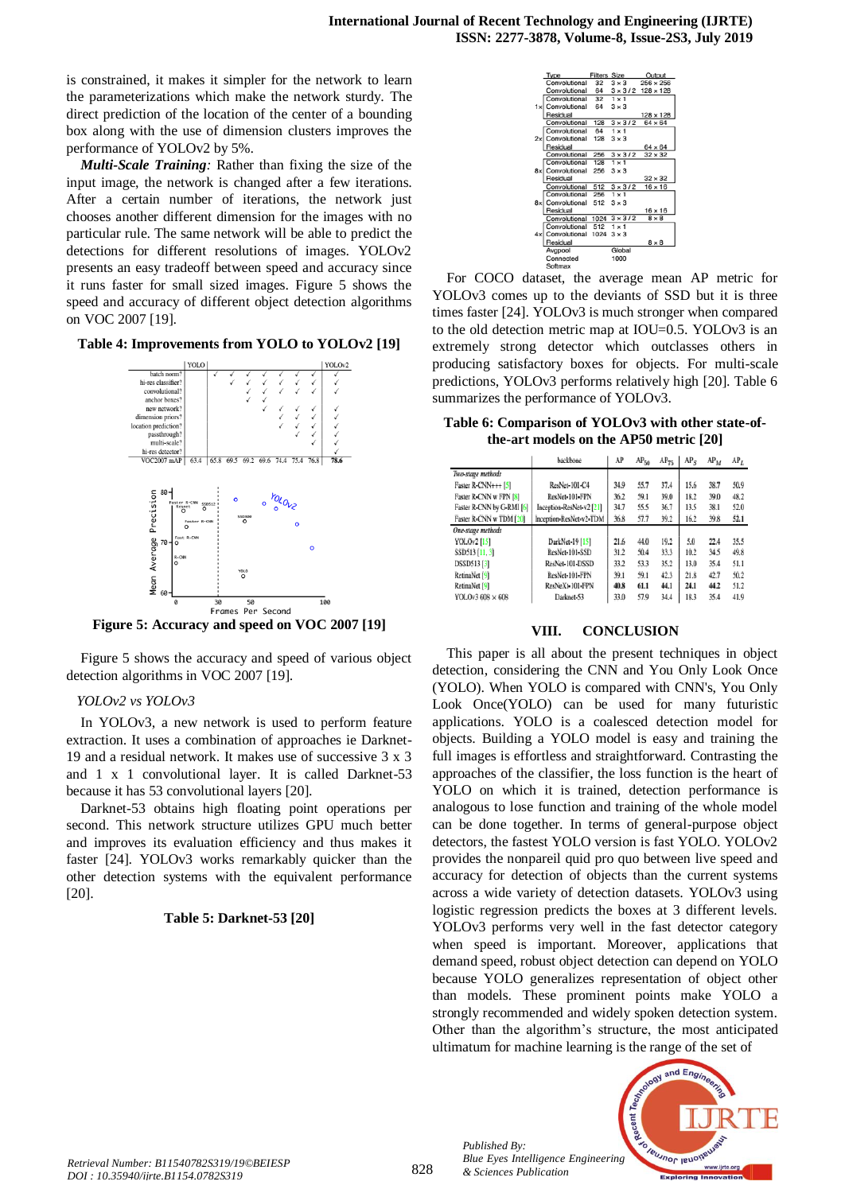is constrained, it makes it simpler for the network to learn the parameterizations which make the network sturdy. The direct prediction of the location of the center of a bounding box along with the use of dimension clusters improves the performance of YOLOv2 by 5%.

*Multi-Scale Training:* Rather than fixing the size of the input image, the network is changed after a few iterations. After a certain number of iterations, the network just chooses another different dimension for the images with no particular rule. The same network will be able to predict the detections for different resolutions of images. YOLOv2 presents an easy tradeoff between speed and accuracy since it runs faster for small sized images. Figure 5 shows the speed and accuracy of different object detection algorithms on VOC 2007 [19].

#### **Table 4: Improvements from YOLO to YOLOv2 [19]**



**Figure 5: Accuracy and speed on VOC 2007 [19]**

Figure 5 shows the accuracy and speed of various object detection algorithms in VOC 2007 [19].

## *YOLOv2 vs YOLOv3*

In YOLOv3, a new network is used to perform feature extraction. It uses a combination of approaches ie Darknet-19 and a residual network. It makes use of successive 3 x 3 and 1 x 1 convolutional layer. It is called Darknet-53 because it has 53 convolutional layers [20].

Darknet-53 obtains high floating point operations per second. This network structure utilizes GPU much better and improves its evaluation efficiency and thus makes it faster [24]. YOLOv3 works remarkably quicker than the other detection systems with the equivalent performance [20].

## **Table 5: Darknet-53 [20]**



For COCO dataset, the average mean AP metric for YOLOv3 comes up to the deviants of SSD but it is three times faster [24]. YOLOv3 is much stronger when compared to the old detection metric map at IOU=0.5. YOLOv3 is an extremely strong detector which outclasses others in producing satisfactory boxes for objects. For multi-scale predictions, YOLOv3 performs relatively high [20]. Table 6 summarizes the performance of YOLOv3.

**Table 6: Comparison of YOLOv3 with other state-ofthe-art models on the AP50 metric [20]**

|                           | backbone                 | AP   | AP <sub>50</sub> | $AP_{75}$ | AP <sub>S</sub> | $AP_M$ | $AP_L$ |
|---------------------------|--------------------------|------|------------------|-----------|-----------------|--------|--------|
| Two-stage methods         |                          |      |                  |           |                 |        |        |
| Faster R-CNN+++ [5]       | ResNet-101-C4            | 34.9 | 55.7             | 37.4      | 15.6            | 38.7   | 50.9   |
| Faster R-CNN w FPN [8]    | ResNet-101-FPN           | 36.2 | 59.1             | 39.0      | 18.2            | 39.0   | 48.2   |
| Faster R-CNN by G-RMI [6] | Inception-ResNet-v2 [21] | 34.7 | 55.5             | 36.7      | 13.5            | 38.1   | 52.0   |
| Faster R-CNN w TDM [20]   | Inception-ResNet-v2-TDM  | 36.8 | 57.7             | 39.2      | 16.2            | 39.8   | 52.1   |
| One-stage methods         |                          |      |                  |           |                 |        |        |
| <b>YOLOv2</b> [15]        | DarkNet-19 [15]          | 21.6 | 44.0             | 19.2      | 5.0             | 22.4   | 35.5   |
| SSD513 [11, 3]            | ResNet-101-SSD           | 31.2 | 50.4             | 33.3      | 10.2            | 34.5   | 49.8   |
| DSSD513 [3]               | ResNet-101-DSSD          | 33.2 | 53.3             | 35.2      | 13.0            | 35.4   | 51.1   |
| RetinaNet [9]             | ResNet-101-FPN           | 39.1 | 59.1             | 42.3      | 21.8            | 42.7   | 50.2   |
| RetinaNet [9]             | ResNeXt-101-FPN          | 40.8 | 61.1             | 44.1      | 24.1            | 44.2   | 51.2   |
| YOLOv3 608 × 608          | Darknet-53               | 33.0 | 57.9             | 34.4      | 18.3            | 35.4   | 41.9   |

## **VIII. CONCLUSION**

This paper is all about the present techniques in object detection, considering the CNN and You Only Look Once (YOLO). When YOLO is compared with CNN's, You Only Look Once(YOLO) can be used for many futuristic applications. YOLO is a coalesced detection model for objects. Building a YOLO model is easy and training the full images is effortless and straightforward. Contrasting the approaches of the classifier, the loss function is the heart of YOLO on which it is trained, detection performance is analogous to lose function and training of the whole model can be done together. In terms of general-purpose object detectors, the fastest YOLO version is fast YOLO. YOLOv2 provides the nonpareil quid pro quo between live speed and accuracy for detection of objects than the current systems across a wide variety of detection datasets. YOLOv3 using logistic regression predicts the boxes at 3 different levels. YOLOv3 performs very well in the fast detector category when speed is important. Moreover, applications that demand speed, robust object detection can depend on YOLO because YOLO generalizes representation of object other than models. These prominent points make YOLO a strongly recommended and widely spoken detection system. Other than the algorithm's structure, the most anticipated ultimatum for machine learning is the range of the set of



*Published By:*

*& Sciences Publication*